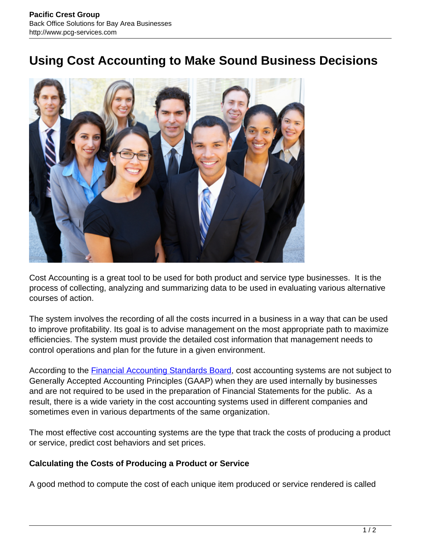## **Using Cost Accounting to Make Sound Business Decisions**



Cost Accounting is a great tool to be used for both product and service type businesses. It is the process of collecting, analyzing and summarizing data to be used in evaluating various alternative courses of action.

The system involves the recording of all the costs incurred in a business in a way that can be used to improve profitability. Its goal is to advise management on the most appropriate path to maximize efficiencies. The system must provide the detailed cost information that management needs to control operations and plan for the future in a given environment.

According to the **Financial Accounting Standards Board**, cost accounting systems are not subject to Generally Accepted Accounting Principles (GAAP) when they are used internally by businesses and are not required to be used in the preparation of Financial Statements for the public. As a result, there is a wide variety in the cost accounting systems used in different companies and sometimes even in various departments of the same organization.

The most effective cost accounting systems are the type that track the costs of producing a product or service, predict cost behaviors and set prices.

## **Calculating the Costs of Producing a Product or Service**

A good method to compute the cost of each unique item produced or service rendered is called